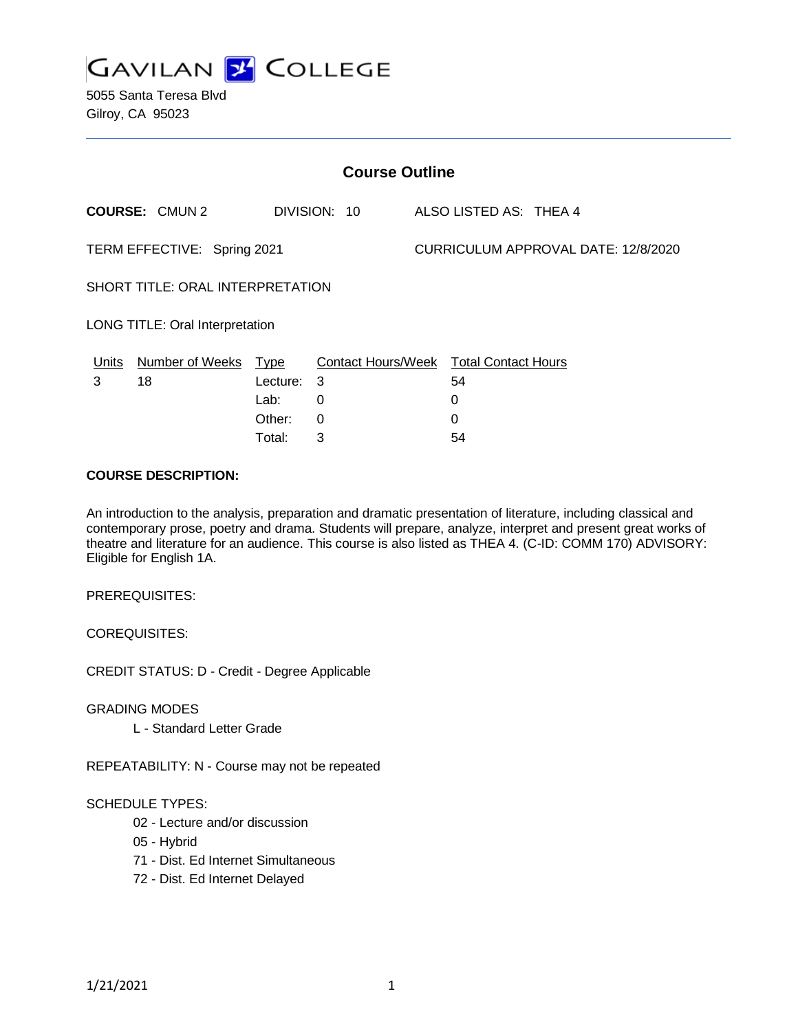

5055 Santa Teresa Blvd Gilroy, CA 95023

| <b>Course Outline</b>            |                        |             |                                        |  |                                            |  |  |  |
|----------------------------------|------------------------|-------------|----------------------------------------|--|--------------------------------------------|--|--|--|
|                                  | <b>COURSE: CMUN2</b>   |             | DIVISION: 10                           |  | ALSO LISTED AS: THEA 4                     |  |  |  |
| TERM EFFECTIVE: Spring 2021      |                        |             |                                        |  | <b>CURRICULUM APPROVAL DATE: 12/8/2020</b> |  |  |  |
| SHORT TITLE: ORAL INTERPRETATION |                        |             |                                        |  |                                            |  |  |  |
| LONG TITLE: Oral Interpretation  |                        |             |                                        |  |                                            |  |  |  |
| <u>Units</u>                     | <b>Number of Weeks</b> | <u>Type</u> | Contact Hours/Week Total Contact Hours |  |                                            |  |  |  |
| 3                                | 18                     | Lecture:    | 3                                      |  | 54                                         |  |  |  |
|                                  |                        | Lab:        | 0                                      |  | 0                                          |  |  |  |
|                                  |                        | Other:      | $\Omega$                               |  | 0                                          |  |  |  |
|                                  |                        | Total:      | 3                                      |  | 54                                         |  |  |  |

### **COURSE DESCRIPTION:**

An introduction to the analysis, preparation and dramatic presentation of literature, including classical and contemporary prose, poetry and drama. Students will prepare, analyze, interpret and present great works of theatre and literature for an audience. This course is also listed as THEA 4. (C-ID: COMM 170) ADVISORY: Eligible for English 1A.

PREREQUISITES:

COREQUISITES:

CREDIT STATUS: D - Credit - Degree Applicable

GRADING MODES

L - Standard Letter Grade

REPEATABILITY: N - Course may not be repeated

#### SCHEDULE TYPES:

- 02 Lecture and/or discussion
- 05 Hybrid
- 71 Dist. Ed Internet Simultaneous
- 72 Dist. Ed Internet Delayed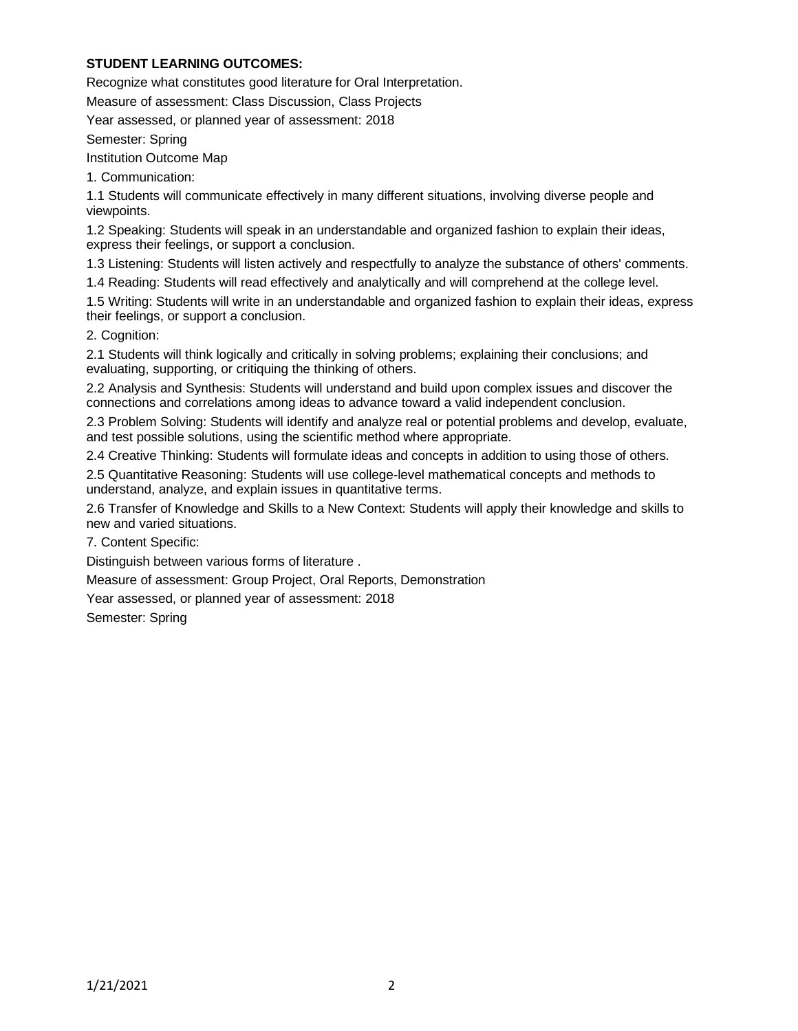# **STUDENT LEARNING OUTCOMES:**

Recognize what constitutes good literature for Oral Interpretation.

Measure of assessment: Class Discussion, Class Projects

Year assessed, or planned year of assessment: 2018

Semester: Spring

Institution Outcome Map

1. Communication:

1.1 Students will communicate effectively in many different situations, involving diverse people and viewpoints.

1.2 Speaking: Students will speak in an understandable and organized fashion to explain their ideas, express their feelings, or support a conclusion.

1.3 Listening: Students will listen actively and respectfully to analyze the substance of others' comments.

1.4 Reading: Students will read effectively and analytically and will comprehend at the college level.

1.5 Writing: Students will write in an understandable and organized fashion to explain their ideas, express their feelings, or support a conclusion.

2. Cognition:

2.1 Students will think logically and critically in solving problems; explaining their conclusions; and evaluating, supporting, or critiquing the thinking of others.

2.2 Analysis and Synthesis: Students will understand and build upon complex issues and discover the connections and correlations among ideas to advance toward a valid independent conclusion.

2.3 Problem Solving: Students will identify and analyze real or potential problems and develop, evaluate, and test possible solutions, using the scientific method where appropriate.

2.4 Creative Thinking: Students will formulate ideas and concepts in addition to using those of others.

2.5 Quantitative Reasoning: Students will use college-level mathematical concepts and methods to understand, analyze, and explain issues in quantitative terms.

2.6 Transfer of Knowledge and Skills to a New Context: Students will apply their knowledge and skills to new and varied situations.

7. Content Specific:

Distinguish between various forms of literature .

Measure of assessment: Group Project, Oral Reports, Demonstration

Year assessed, or planned year of assessment: 2018

Semester: Spring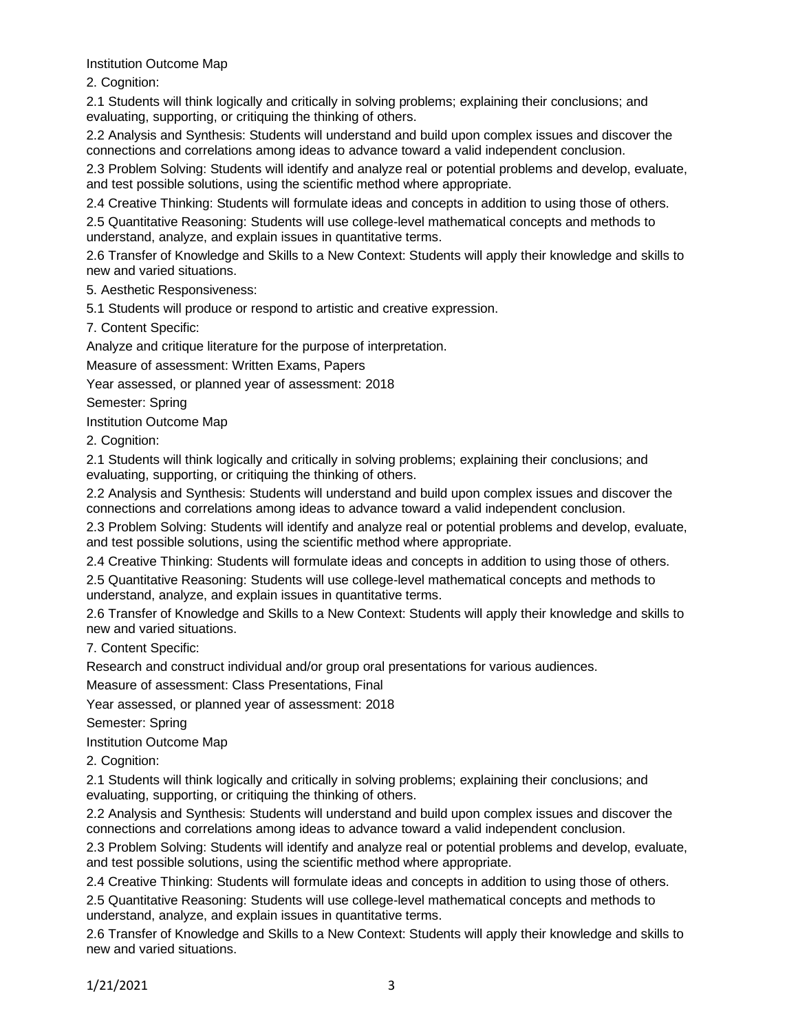Institution Outcome Map

2. Cognition:

2.1 Students will think logically and critically in solving problems; explaining their conclusions; and evaluating, supporting, or critiquing the thinking of others.

2.2 Analysis and Synthesis: Students will understand and build upon complex issues and discover the connections and correlations among ideas to advance toward a valid independent conclusion.

2.3 Problem Solving: Students will identify and analyze real or potential problems and develop, evaluate, and test possible solutions, using the scientific method where appropriate.

2.4 Creative Thinking: Students will formulate ideas and concepts in addition to using those of others.

2.5 Quantitative Reasoning: Students will use college-level mathematical concepts and methods to understand, analyze, and explain issues in quantitative terms.

2.6 Transfer of Knowledge and Skills to a New Context: Students will apply their knowledge and skills to new and varied situations.

5. Aesthetic Responsiveness:

5.1 Students will produce or respond to artistic and creative expression.

7. Content Specific:

Analyze and critique literature for the purpose of interpretation.

Measure of assessment: Written Exams, Papers

Year assessed, or planned year of assessment: 2018

Semester: Spring

Institution Outcome Map

2. Cognition:

2.1 Students will think logically and critically in solving problems; explaining their conclusions; and evaluating, supporting, or critiquing the thinking of others.

2.2 Analysis and Synthesis: Students will understand and build upon complex issues and discover the connections and correlations among ideas to advance toward a valid independent conclusion.

2.3 Problem Solving: Students will identify and analyze real or potential problems and develop, evaluate, and test possible solutions, using the scientific method where appropriate.

2.4 Creative Thinking: Students will formulate ideas and concepts in addition to using those of others.

2.5 Quantitative Reasoning: Students will use college-level mathematical concepts and methods to understand, analyze, and explain issues in quantitative terms.

2.6 Transfer of Knowledge and Skills to a New Context: Students will apply their knowledge and skills to new and varied situations.

7. Content Specific:

Research and construct individual and/or group oral presentations for various audiences.

Measure of assessment: Class Presentations, Final

Year assessed, or planned year of assessment: 2018

Semester: Spring

Institution Outcome Map

2. Cognition:

2.1 Students will think logically and critically in solving problems; explaining their conclusions; and evaluating, supporting, or critiquing the thinking of others.

2.2 Analysis and Synthesis: Students will understand and build upon complex issues and discover the connections and correlations among ideas to advance toward a valid independent conclusion.

2.3 Problem Solving: Students will identify and analyze real or potential problems and develop, evaluate, and test possible solutions, using the scientific method where appropriate.

2.4 Creative Thinking: Students will formulate ideas and concepts in addition to using those of others.

2.5 Quantitative Reasoning: Students will use college-level mathematical concepts and methods to understand, analyze, and explain issues in quantitative terms.

2.6 Transfer of Knowledge and Skills to a New Context: Students will apply their knowledge and skills to new and varied situations.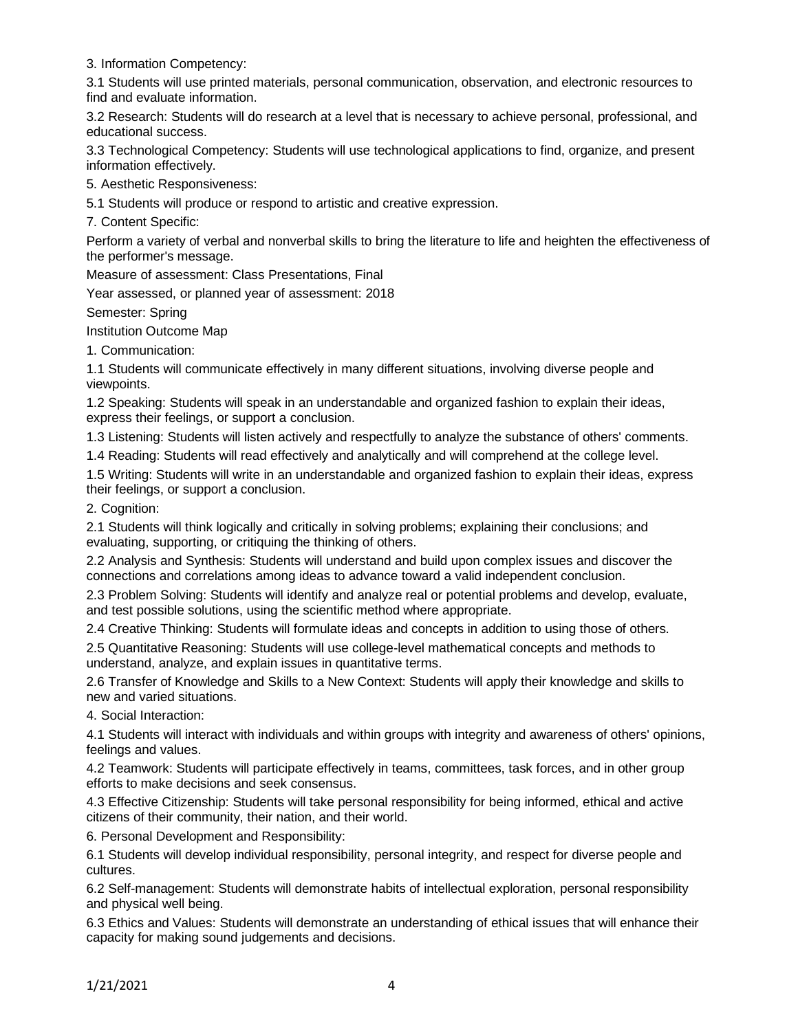3. Information Competency:

3.1 Students will use printed materials, personal communication, observation, and electronic resources to find and evaluate information.

3.2 Research: Students will do research at a level that is necessary to achieve personal, professional, and educational success.

3.3 Technological Competency: Students will use technological applications to find, organize, and present information effectively.

5. Aesthetic Responsiveness:

5.1 Students will produce or respond to artistic and creative expression.

7. Content Specific:

Perform a variety of verbal and nonverbal skills to bring the literature to life and heighten the effectiveness of the performer's message.

Measure of assessment: Class Presentations, Final

Year assessed, or planned year of assessment: 2018

Semester: Spring

Institution Outcome Map

1. Communication:

1.1 Students will communicate effectively in many different situations, involving diverse people and viewpoints.

1.2 Speaking: Students will speak in an understandable and organized fashion to explain their ideas, express their feelings, or support a conclusion.

1.3 Listening: Students will listen actively and respectfully to analyze the substance of others' comments.

1.4 Reading: Students will read effectively and analytically and will comprehend at the college level.

1.5 Writing: Students will write in an understandable and organized fashion to explain their ideas, express their feelings, or support a conclusion.

2. Cognition:

2.1 Students will think logically and critically in solving problems; explaining their conclusions; and evaluating, supporting, or critiquing the thinking of others.

2.2 Analysis and Synthesis: Students will understand and build upon complex issues and discover the connections and correlations among ideas to advance toward a valid independent conclusion.

2.3 Problem Solving: Students will identify and analyze real or potential problems and develop, evaluate, and test possible solutions, using the scientific method where appropriate.

2.4 Creative Thinking: Students will formulate ideas and concepts in addition to using those of others.

2.5 Quantitative Reasoning: Students will use college-level mathematical concepts and methods to understand, analyze, and explain issues in quantitative terms.

2.6 Transfer of Knowledge and Skills to a New Context: Students will apply their knowledge and skills to new and varied situations.

4. Social Interaction:

4.1 Students will interact with individuals and within groups with integrity and awareness of others' opinions, feelings and values.

4.2 Teamwork: Students will participate effectively in teams, committees, task forces, and in other group efforts to make decisions and seek consensus.

4.3 Effective Citizenship: Students will take personal responsibility for being informed, ethical and active citizens of their community, their nation, and their world.

6. Personal Development and Responsibility:

6.1 Students will develop individual responsibility, personal integrity, and respect for diverse people and cultures.

6.2 Self-management: Students will demonstrate habits of intellectual exploration, personal responsibility and physical well being.

6.3 Ethics and Values: Students will demonstrate an understanding of ethical issues that will enhance their capacity for making sound judgements and decisions.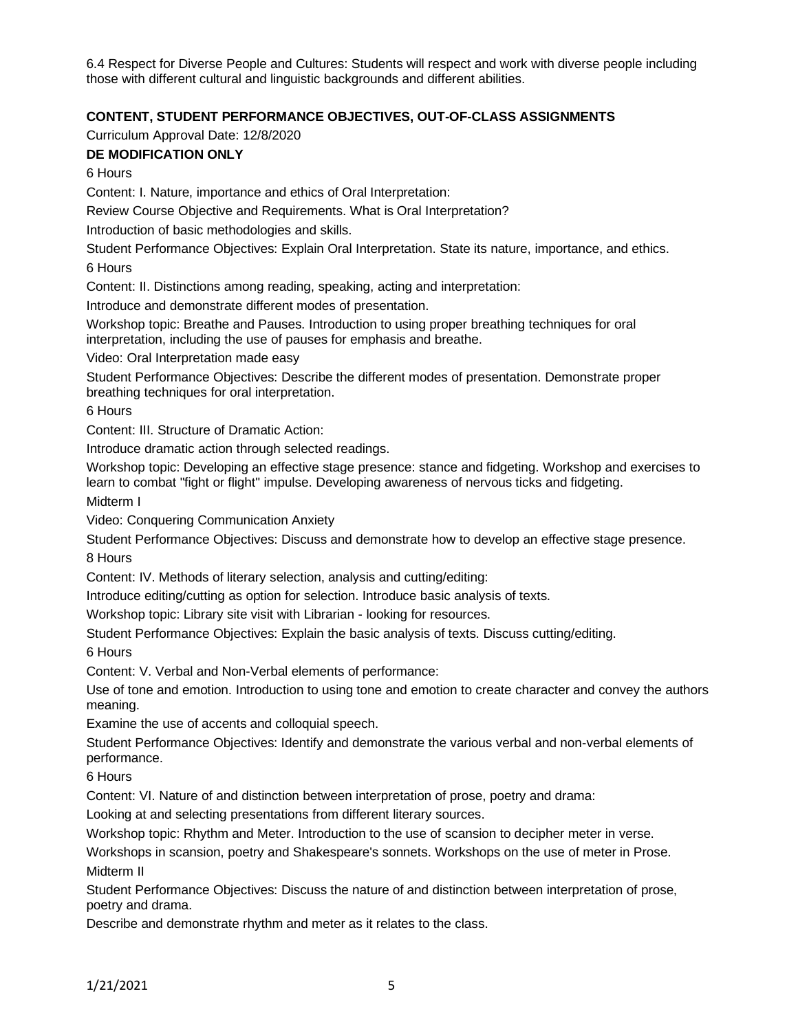6.4 Respect for Diverse People and Cultures: Students will respect and work with diverse people including those with different cultural and linguistic backgrounds and different abilities.

# **CONTENT, STUDENT PERFORMANCE OBJECTIVES, OUT-OF-CLASS ASSIGNMENTS**

Curriculum Approval Date: 12/8/2020

# **DE MODIFICATION ONLY**

6 Hours

Content: I. Nature, importance and ethics of Oral Interpretation:

Review Course Objective and Requirements. What is Oral Interpretation?

Introduction of basic methodologies and skills.

Student Performance Objectives: Explain Oral Interpretation. State its nature, importance, and ethics.

6 Hours

Content: II. Distinctions among reading, speaking, acting and interpretation:

Introduce and demonstrate different modes of presentation.

Workshop topic: Breathe and Pauses. Introduction to using proper breathing techniques for oral interpretation, including the use of pauses for emphasis and breathe.

Video: Oral Interpretation made easy

Student Performance Objectives: Describe the different modes of presentation. Demonstrate proper breathing techniques for oral interpretation.

6 Hours

Content: III. Structure of Dramatic Action:

Introduce dramatic action through selected readings.

Workshop topic: Developing an effective stage presence: stance and fidgeting. Workshop and exercises to learn to combat "fight or flight" impulse. Developing awareness of nervous ticks and fidgeting.

Midterm I

Video: Conquering Communication Anxiety

Student Performance Objectives: Discuss and demonstrate how to develop an effective stage presence. 8 Hours

Content: IV. Methods of literary selection, analysis and cutting/editing:

Introduce editing/cutting as option for selection. Introduce basic analysis of texts.

Workshop topic: Library site visit with Librarian - looking for resources.

Student Performance Objectives: Explain the basic analysis of texts. Discuss cutting/editing.

6 Hours

Content: V. Verbal and Non-Verbal elements of performance:

Use of tone and emotion. Introduction to using tone and emotion to create character and convey the authors meaning.

Examine the use of accents and colloquial speech.

Student Performance Objectives: Identify and demonstrate the various verbal and non-verbal elements of performance.

6 Hours

Content: VI. Nature of and distinction between interpretation of prose, poetry and drama:

Looking at and selecting presentations from different literary sources.

Workshop topic: Rhythm and Meter. Introduction to the use of scansion to decipher meter in verse.

Workshops in scansion, poetry and Shakespeare's sonnets. Workshops on the use of meter in Prose. Midterm II

Student Performance Objectives: Discuss the nature of and distinction between interpretation of prose, poetry and drama.

Describe and demonstrate rhythm and meter as it relates to the class.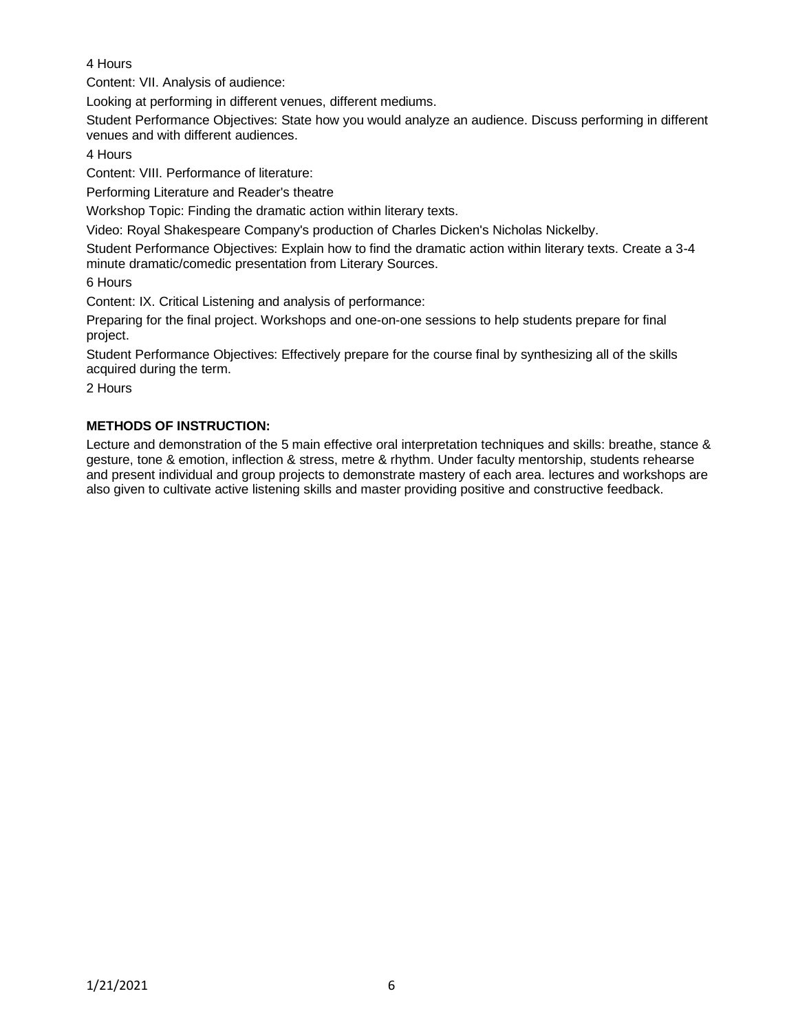# 4 Hours

Content: VII. Analysis of audience:

Looking at performing in different venues, different mediums.

Student Performance Objectives: State how you would analyze an audience. Discuss performing in different venues and with different audiences.

4 Hours

Content: VIII. Performance of literature:

Performing Literature and Reader's theatre

Workshop Topic: Finding the dramatic action within literary texts.

Video: Royal Shakespeare Company's production of Charles Dicken's Nicholas Nickelby.

Student Performance Objectives: Explain how to find the dramatic action within literary texts. Create a 3-4 minute dramatic/comedic presentation from Literary Sources.

6 Hours

Content: IX. Critical Listening and analysis of performance:

Preparing for the final project. Workshops and one-on-one sessions to help students prepare for final project.

Student Performance Objectives: Effectively prepare for the course final by synthesizing all of the skills acquired during the term.

2 Hours

# **METHODS OF INSTRUCTION:**

Lecture and demonstration of the 5 main effective oral interpretation techniques and skills: breathe, stance & gesture, tone & emotion, inflection & stress, metre & rhythm. Under faculty mentorship, students rehearse and present individual and group projects to demonstrate mastery of each area. lectures and workshops are also given to cultivate active listening skills and master providing positive and constructive feedback.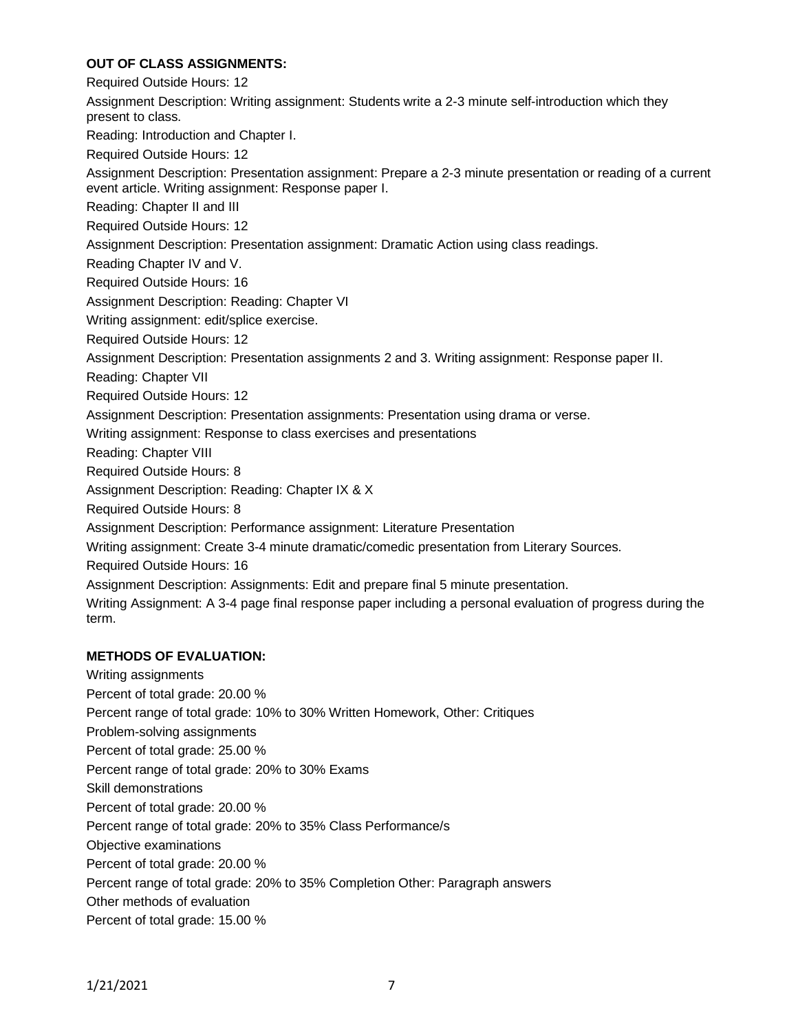# **OUT OF CLASS ASSIGNMENTS:**

Required Outside Hours: 12 Assignment Description: Writing assignment: Students write a 2-3 minute self-introduction which they present to class. Reading: Introduction and Chapter I. Required Outside Hours: 12 Assignment Description: Presentation assignment: Prepare a 2-3 minute presentation or reading of a current event article. Writing assignment: Response paper I. Reading: Chapter II and III Required Outside Hours: 12 Assignment Description: Presentation assignment: Dramatic Action using class readings. Reading Chapter IV and V. Required Outside Hours: 16 Assignment Description: Reading: Chapter VI Writing assignment: edit/splice exercise. Required Outside Hours: 12 Assignment Description: Presentation assignments 2 and 3. Writing assignment: Response paper II. Reading: Chapter VII Required Outside Hours: 12 Assignment Description: Presentation assignments: Presentation using drama or verse. Writing assignment: Response to class exercises and presentations Reading: Chapter VIII Required Outside Hours: 8 Assignment Description: Reading: Chapter IX & X Required Outside Hours: 8 Assignment Description: Performance assignment: Literature Presentation Writing assignment: Create 3-4 minute dramatic/comedic presentation from Literary Sources. Required Outside Hours: 16 Assignment Description: Assignments: Edit and prepare final 5 minute presentation. Writing Assignment: A 3-4 page final response paper including a personal evaluation of progress during the term.

# **METHODS OF EVALUATION:**

Writing assignments Percent of total grade: 20.00 % Percent range of total grade: 10% to 30% Written Homework, Other: Critiques Problem-solving assignments Percent of total grade: 25.00 % Percent range of total grade: 20% to 30% Exams Skill demonstrations Percent of total grade: 20.00 % Percent range of total grade: 20% to 35% Class Performance/s Objective examinations Percent of total grade: 20.00 % Percent range of total grade: 20% to 35% Completion Other: Paragraph answers Other methods of evaluation Percent of total grade: 15.00 %